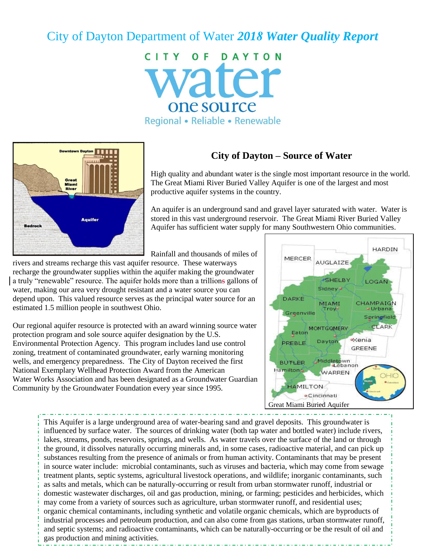# City of Dayton Department of Water *2018 Water Quality Report*

CITY OF DAYTON vater one source Regional • Reliable • Renewable



## **City of Dayton – Source of Water**

High quality and abundant water is the single most important resource in the world. The Great Miami River Buried Valley Aquifer is one of the largest and most productive aquifer systems in the country.

An aquifer is an underground sand and gravel layer saturated with water. Water is stored in this vast underground reservoir. The Great Miami River Buried Valley Aquifer has sufficient water supply for many Southwestern Ohio communities.

Rainfall and thousands of miles of

rivers and streams recharge this vast aquifer resource. These waterways recharge the groundwater supplies within the aquifer making the groundwater a truly "renewable" resource. The aquifer holds more than a trillions gallons of water, making our area very drought resistant and a water source you can depend upon. This valued resource serves as the principal water source for an estimated 1.5 million people in southwest Ohio.

Our regional aquifer resource is protected with an award winning source water protection program and sole source aquifer designation by the U.S. Environmental Protection Agency. This program includes land use control zoning, treatment of contaminated groundwater, early warning monitoring wells, and emergency preparedness. The City of Dayton received the first National Exemplary Wellhead Protection Award from the American Water Works Association and has been designated as a Groundwater Guardian Community by the Groundwater Foundation every year since 1995.



This Aquifer is a large underground area of water-bearing sand and gravel deposits. This groundwater is influenced by surface water. The sources of drinking water (both tap water and bottled water) include rivers, lakes, streams, ponds, reservoirs, springs, and wells. As water travels over the surface of the land or through the ground, it dissolves naturally occurring minerals and, in some cases, radioactive material, and can pick up substances resulting from the presence of animals or from human activity. Contaminants that may be present in source water include: microbial contaminants, such as viruses and bacteria, which may come from sewage treatment plants, septic systems, agricultural livestock operations, and wildlife; inorganic contaminants, such as salts and metals, which can be naturally-occurring or result from urban stormwater runoff, industrial or domestic wastewater discharges, oil and gas production, mining, or farming; pesticides and herbicides, which may come from a variety of sources such as agriculture, urban stormwater runoff, and residential uses; organic chemical contaminants, including synthetic and volatile organic chemicals, which are byproducts of industrial processes and petroleum production, and can also come from gas stations, urban stormwater runoff, and septic systems; and radioactive contaminants, which can be naturally-occurring or be the result of oil and gas production and mining activities.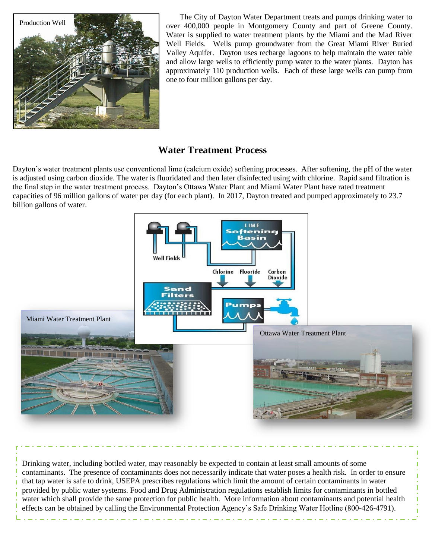

The City of Dayton Water Department treats and pumps drinking water to over 400,000 people in Montgomery County and part of Greene County. Water is supplied to water treatment plants by the Miami and the Mad River Well Fields. Wells pump groundwater from the Great Miami River Buried Valley Aquifer. Dayton uses recharge lagoons to help maintain the water table and allow large wells to efficiently pump water to the water plants. Dayton has approximately 110 production wells. Each of these large wells can pump from one to four million gallons per day.

## **Water Treatment Process**

Dayton's water treatment plants use conventional lime (calcium oxide) softening processes. After softening, the pH of the water is adjusted using carbon dioxide. The water is fluoridated and then later disinfected using with chlorine. Rapid sand filtration is the final step in the water treatment process. Dayton's Ottawa Water Plant and Miami Water Plant have rated treatment capacities of 96 million gallons of water per day (for each plant). In 2017, Dayton treated and pumped approximately to 23.7 billion gallons of water.



Drinking water, including bottled water, may reasonably be expected to contain at least small amounts of some contaminants. The presence of contaminants does not necessarily indicate that water poses a health risk. In order to ensure that tap water is safe to drink, USEPA prescribes regulations which limit the amount of certain contaminants in water provided by public water systems. Food and Drug Administration regulations establish limits for contaminants in bottled water which shall provide the same protection for public health. More information about contaminants and potential health effects can be obtained by calling the Environmental Protection Agency's Safe Drinking Water Hotline (800-426-4791).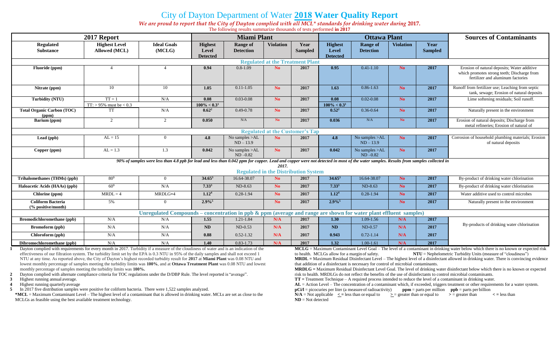# City of Dayton Department of Water **2018 Water Quality Report**

*We are proud to report that the City of Dayton complied with all MCL\* standards for drinking water during* **2017.** The following results summarize thousands of tests performed **in 2017**

| 2017 Report                                                                                                                                                                          |                                          |                              | <b>Miami Plant</b>                         |                                     |                  |                        | <b>Ottawa Plant</b>                        |                                     |                  |                        | <b>Sources of Contaminants</b>                                                                                                  |
|--------------------------------------------------------------------------------------------------------------------------------------------------------------------------------------|------------------------------------------|------------------------------|--------------------------------------------|-------------------------------------|------------------|------------------------|--------------------------------------------|-------------------------------------|------------------|------------------------|---------------------------------------------------------------------------------------------------------------------------------|
| <b>Regulated</b><br><b>Substance</b>                                                                                                                                                 | <b>Highest Level</b><br>Allowed (MCL)    | <b>Ideal Goals</b><br>(MCLG) | <b>Highest</b><br>Level<br><b>Detected</b> | <b>Range of</b><br><b>Detection</b> | <b>Violation</b> | Year<br><b>Sampled</b> | <b>Highest</b><br>Level<br><b>Detected</b> | <b>Range of</b><br><b>Detection</b> | <b>Violation</b> | Year<br><b>Sampled</b> |                                                                                                                                 |
| <b>Regulated at the Treatment Plant</b>                                                                                                                                              |                                          |                              |                                            |                                     |                  |                        |                                            |                                     |                  |                        |                                                                                                                                 |
| Fluoride (ppm)                                                                                                                                                                       |                                          |                              | 0.94                                       | $0.8 - 1.09$                        | N <sub>o</sub>   | 2017                   | 0.95                                       | $0.41 - 1.10$                       | N <sub>o</sub>   | 2017                   | Erosion of natural deposits; Water additive<br>which promotes strong teeth; Discharge from<br>fertilizer and aluminum factories |
| Nitrate (ppm)                                                                                                                                                                        | 10                                       | 10                           | 1.05                                       | $0.11 - 1.05$                       | N <sub>o</sub>   | 2017                   | 1.63                                       | $0.86 - 1.63$                       | N <sub>o</sub>   | 2017                   | Runoff from fertilizer use; Leaching from septic<br>tank, sewage; Erosion of natural deposits                                   |
| Turbidity (NTU)                                                                                                                                                                      | $TT = 1$<br>$TT: > 95\%$ must be $< 0.3$ | N/A                          | 0.08<br>$100\% < 0.3^1$                    | $0.03 - 0.08$                       | N <sub>o</sub>   | 2017                   | 0.08<br>$100\% < 0.3^1$                    | $0.02 - 0.08$                       | N <sub>o</sub>   | 2017                   | Lime softening residuals; Soil runoff.                                                                                          |
| <b>Total Organic Carbon (TOC)</b><br>(ppm)                                                                                                                                           | <b>TT</b>                                | N/A                          | $0.62^2$                                   | $0.49 - 0.78$                       | N <sub>o</sub>   | 2017                   | $0.52^2$                                   | $0.36 - 0.64$                       | N <sub>o</sub>   | 2017                   | Naturally present in the environment                                                                                            |
| Barium (ppm)                                                                                                                                                                         | 2                                        | 2                            | 0.050                                      | N/A                                 | No.              | 2017                   | 0.036                                      | N/A                                 | N <sub>o</sub>   | 2017                   | Erosion of natural deposits; Discharge from<br>metal refineries; Erosion of natural of                                          |
| <b>Regulated at the Customer's Tap</b>                                                                                                                                               |                                          |                              |                                            |                                     |                  |                        |                                            |                                     |                  |                        |                                                                                                                                 |
| Lead (ppb)                                                                                                                                                                           | $AL = 15$                                | $\overline{0}$               | 4.8                                        | No samples >AL<br>$ND - 13.9$       | N <sub>o</sub>   | 2017                   | 4.8                                        | No samples >AL<br>$ND - 13.9$       | N <sub>o</sub>   | 2017                   | Corrosion of household plumbing materials; Erosion<br>of natural deposits                                                       |
| Copper (ppm)                                                                                                                                                                         | $AL = 1.3$                               | 1.3                          | 0.042                                      | No samples >AL<br>$ND - 0.82$       | N <sub>o</sub>   | 2017                   | 0.042                                      | No samples >AL<br>$ND - 0.82$       | N <sub>o</sub>   | 2017                   |                                                                                                                                 |
| 90% of samples were less than 4.8 ppb for lead and less than 0.042 ppm for copper. Lead and copper were not detected in most of the water samples. Results from samples collected in |                                          |                              |                                            |                                     |                  |                        |                                            |                                     |                  |                        |                                                                                                                                 |
| 2017.<br><b>Regulated in the Distribution System</b>                                                                                                                                 |                                          |                              |                                            |                                     |                  |                        |                                            |                                     |                  |                        |                                                                                                                                 |
| Trihalomethanes (THMs) (ppb)                                                                                                                                                         | $80^{3}$                                 | $\overline{0}$               | $34.65^3$                                  | 16.64-38.07                         | N <sub>o</sub>   | 2017                   | $34.65^3$                                  | 16.64-38.07                         | No.              | 2017                   | By-product of drinking water chlorination                                                                                       |
| Haloacetic Acids (HAAs) (ppb)                                                                                                                                                        | $60^{3}$                                 | N/A                          | $7.33^{3}$                                 | ND-8.63                             | N <sub>o</sub>   | 2017                   | $7.33^{3}$                                 | ND-8.63                             | No               | 2017                   | By-product of drinking water chlorination                                                                                       |
| Chlorine (ppm)                                                                                                                                                                       | $MRDL = 4$                               | MRDLG=4                      | 1.12 <sup>4</sup>                          | $0.28 - 1.94$                       | N <sub>o</sub>   | 2017                   | 1.12 <sup>4</sup>                          | $0.28 - 1.94$                       | No.              | 2017                   | Water additive used to control microbes                                                                                         |
| <b>Coliform Bacteria</b><br>$\frac{6}{6}$ positive/month)                                                                                                                            | 5%                                       | $\overline{0}$               | $2.9\%$ <sup>5</sup>                       |                                     | N <sub>o</sub>   | 2017                   | $2.9\%$ <sup>5</sup>                       |                                     | No               | 2017                   | Naturally present in the environment                                                                                            |
| Unregulated Compounds – concentration in ppb $\&$ ppm (average and range are shown for water plant effluent samples)                                                                 |                                          |                              |                                            |                                     |                  |                        |                                            |                                     |                  |                        |                                                                                                                                 |
| <b>Bromodichloromethane</b> (ppb)                                                                                                                                                    | N/A                                      | N/A                          | 1.55                                       | 1.21-1.84                           | N/A              | 2017                   | 1.30                                       | 1.09-1.56                           | N/A              | 2017                   | By-products of drinking water chlorination                                                                                      |
| Bromoform (ppb)                                                                                                                                                                      | N/A                                      | N/A                          | <b>ND</b>                                  | $ND-0.53$                           | N/A              | 2017                   | <b>ND</b>                                  | ND-0.57                             | N/A              | 2017                   |                                                                                                                                 |
| Chloroform (ppb)                                                                                                                                                                     | N/A                                      | N/A                          | 0.88                                       | $0.52 - 1.32$                       | N/A              | 2017                   | 0.943                                      | $0.72 - 1.14$                       | N/A              | 2017                   |                                                                                                                                 |
| Dibromochloromethane (ppb)                                                                                                                                                           | N/A                                      | N/A                          | 1.40                                       | $0.83 - 1.73$                       | N/A              | 2017                   | 1.32                                       | $1.00 - 1.61$                       | N/A              | 2017                   |                                                                                                                                 |

**1** Dayton complied with requirements for every month in 2017. Turbidity if a measure of the cloudiness of water and is an indication of the effectiveness of our filtration system. The turbidity limit set by the EPA is 0.3 NTU in 95% of the daily samples and shall not exceed 1 NTU at any time. As reported above, the City of Dayton's highest recorded turbidity result for **2017** at **Miami Plant** was 0.08 NTU and lowest monthly percentage of samples meeting the turbidity limits was **100%**, and at **Ottawa Treatment Plant** was 0.08 NTU and lowest monthly percentage of samples meeting the turbidity limits was **100%.**

**2** Dayton complied with alternate compliance criteria for TOC regulations under the D/DBP Rule. The level reported is "average".

**3** Highest running annual average.

**4** Highest running quarterlyaverage

**5** In 2017 five distribution samples were positive for coliform bacteria. There were 1,522 samples analyzed.

**\*MCL** = Maximum Contaminant Level – The highest level of a contaminant that is allowed in drinking water. MCLs are set as close to the MCLGs as feasible using the best available treatment technology.

**MCLG** = Maximum Contaminant Level Goal – The level of a contaminant in drinking water below which there is no known or expected risk to health. MCLGs allow for a margin of safety. **NTU** = Nephelometric Turbidity Units (measure of "cloudiness") **MRDL =** Maximum Residual Disinfectant Level – The highest level of a disinfectant allowed in drinking water. There is convincing evidence that addition of a disinfectant is necessary for control of microbial contaminants.

**MRDLG =** Maximum Residual Disinfectant Level Goal. The level of drinking water disinfectant below which there is no known or expected risk to health. MRDLGs do not reflect the benefits of the use of disinfectants to control microbial contaminants.

**TT =** Treatment Technique – A required process intended to reduce the level of a contaminant in drinking water.

**AL** = Action Level – The concentration of a contaminant which, if exceeded, triggers treatment or other requirements for a water system.

**pCi/l** = picocuries per liter (a measure of radioactivity) **ppm** = parts per million **ppb** = parts per billion

 $N/A = Not applicable <$  = less than or equal to  $\Rightarrow$  = greater than or equal to  $\Rightarrow$  = greater than  $\le$  = less than **ND** = Not detected